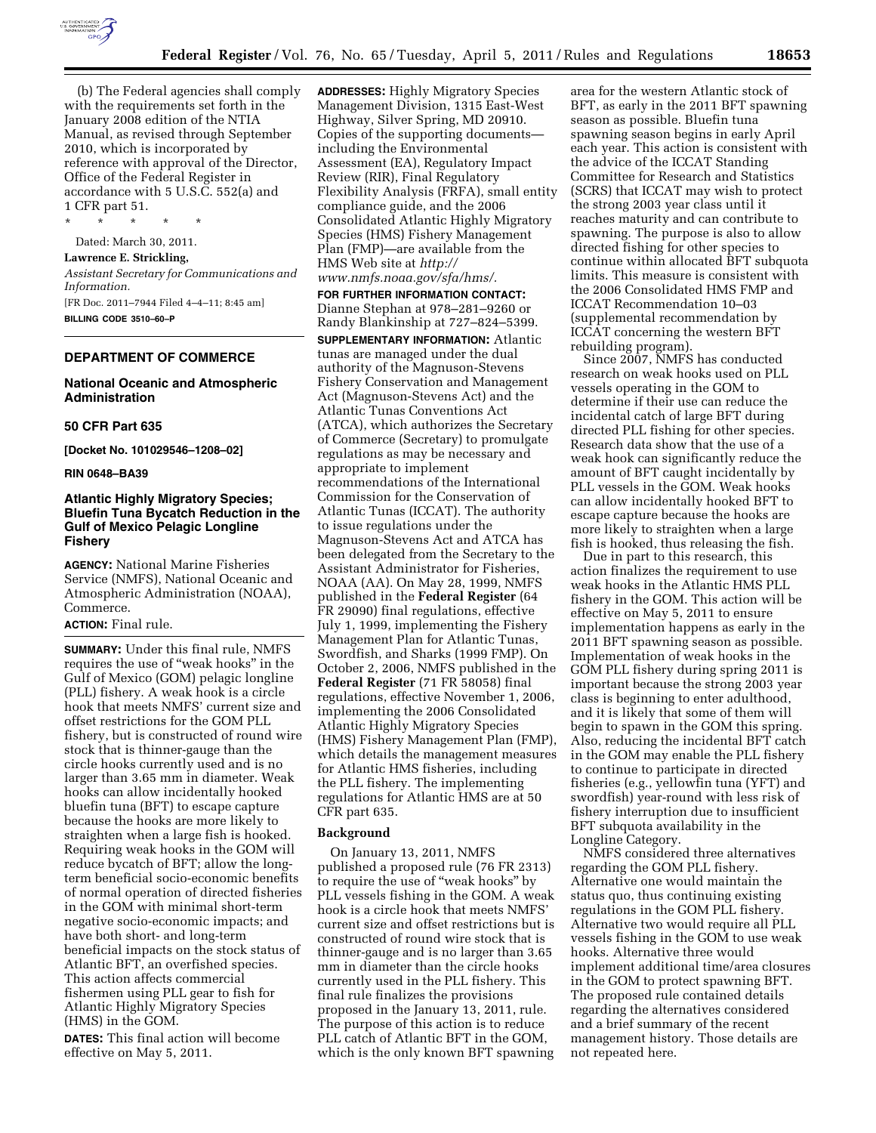

(b) The Federal agencies shall comply with the requirements set forth in the January 2008 edition of the NTIA Manual, as revised through September 2010, which is incorporated by reference with approval of the Director, Office of the Federal Register in accordance with 5 U.S.C. 552(a) and 1 CFR part 51.

\* \* \* \* \* Dated: March 30, 2011. **Lawrence E. Strickling,**  *Assistant Secretary for Communications and Information.*  [FR Doc. 2011–7944 Filed 4–4–11; 8:45 am] **BILLING CODE 3510–60–P** 

## **DEPARTMENT OF COMMERCE**

# **National Oceanic and Atmospheric Administration**

#### **50 CFR Part 635**

**[Docket No. 101029546–1208–02]** 

#### **RIN 0648–BA39**

# **Atlantic Highly Migratory Species; Bluefin Tuna Bycatch Reduction in the Gulf of Mexico Pelagic Longline Fishery**

**AGENCY:** National Marine Fisheries Service (NMFS), National Oceanic and Atmospheric Administration (NOAA), Commerce.

## **ACTION:** Final rule.

**SUMMARY:** Under this final rule, NMFS requires the use of ''weak hooks'' in the Gulf of Mexico (GOM) pelagic longline (PLL) fishery. A weak hook is a circle hook that meets NMFS' current size and offset restrictions for the GOM PLL fishery, but is constructed of round wire stock that is thinner-gauge than the circle hooks currently used and is no larger than 3.65 mm in diameter. Weak hooks can allow incidentally hooked bluefin tuna (BFT) to escape capture because the hooks are more likely to straighten when a large fish is hooked. Requiring weak hooks in the GOM will reduce bycatch of BFT; allow the longterm beneficial socio-economic benefits of normal operation of directed fisheries in the GOM with minimal short-term negative socio-economic impacts; and have both short- and long-term beneficial impacts on the stock status of Atlantic BFT, an overfished species. This action affects commercial fishermen using PLL gear to fish for Atlantic Highly Migratory Species (HMS) in the GOM.

**DATES:** This final action will become effective on May 5, 2011.

**ADDRESSES:** Highly Migratory Species Management Division, 1315 East-West Highway, Silver Spring, MD 20910. Copies of the supporting documents including the Environmental Assessment (EA), Regulatory Impact Review (RIR), Final Regulatory Flexibility Analysis (FRFA), small entity compliance guide, and the 2006 Consolidated Atlantic Highly Migratory Species (HMS) Fishery Management Plan (FMP)—are available from the HMS Web site at *[http://](http://www.nmfs.noaa.gov/sfa/hms/)  [www.nmfs.noaa.gov/sfa/hms/.](http://www.nmfs.noaa.gov/sfa/hms/)* 

**FOR FURTHER INFORMATION CONTACT:**  Dianne Stephan at 978–281–9260 or Randy Blankinship at 727–824–5399. **SUPPLEMENTARY INFORMATION:** Atlantic tunas are managed under the dual authority of the Magnuson-Stevens Fishery Conservation and Management Act (Magnuson-Stevens Act) and the Atlantic Tunas Conventions Act (ATCA), which authorizes the Secretary of Commerce (Secretary) to promulgate regulations as may be necessary and appropriate to implement recommendations of the International Commission for the Conservation of Atlantic Tunas (ICCAT). The authority to issue regulations under the Magnuson-Stevens Act and ATCA has been delegated from the Secretary to the Assistant Administrator for Fisheries, NOAA (AA). On May 28, 1999, NMFS published in the **Federal Register** (64 FR 29090) final regulations, effective July 1, 1999, implementing the Fishery Management Plan for Atlantic Tunas, Swordfish, and Sharks (1999 FMP). On October 2, 2006, NMFS published in the **Federal Register** (71 FR 58058) final regulations, effective November 1, 2006, implementing the 2006 Consolidated Atlantic Highly Migratory Species (HMS) Fishery Management Plan (FMP), which details the management measures for Atlantic HMS fisheries, including the PLL fishery. The implementing regulations for Atlantic HMS are at 50 CFR part 635.

#### **Background**

On January 13, 2011, NMFS published a proposed rule (76 FR 2313) to require the use of ''weak hooks'' by PLL vessels fishing in the GOM. A weak hook is a circle hook that meets NMFS' current size and offset restrictions but is constructed of round wire stock that is thinner-gauge and is no larger than 3.65 mm in diameter than the circle hooks currently used in the PLL fishery. This final rule finalizes the provisions proposed in the January 13, 2011, rule. The purpose of this action is to reduce PLL catch of Atlantic BFT in the GOM, which is the only known BFT spawning

area for the western Atlantic stock of BFT, as early in the 2011 BFT spawning season as possible. Bluefin tuna spawning season begins in early April each year. This action is consistent with the advice of the ICCAT Standing Committee for Research and Statistics (SCRS) that ICCAT may wish to protect the strong 2003 year class until it reaches maturity and can contribute to spawning. The purpose is also to allow directed fishing for other species to continue within allocated BFT subquota limits. This measure is consistent with the 2006 Consolidated HMS FMP and ICCAT Recommendation 10–03 (supplemental recommendation by ICCAT concerning the western BFT rebuilding program).

Since 2007, NMFS has conducted research on weak hooks used on PLL vessels operating in the GOM to determine if their use can reduce the incidental catch of large BFT during directed PLL fishing for other species. Research data show that the use of a weak hook can significantly reduce the amount of BFT caught incidentally by PLL vessels in the GOM. Weak hooks can allow incidentally hooked BFT to escape capture because the hooks are more likely to straighten when a large fish is hooked, thus releasing the fish.

Due in part to this research, this action finalizes the requirement to use weak hooks in the Atlantic HMS PLL fishery in the GOM. This action will be effective on May 5, 2011 to ensure implementation happens as early in the 2011 BFT spawning season as possible. Implementation of weak hooks in the GOM PLL fishery during spring 2011 is important because the strong 2003 year class is beginning to enter adulthood, and it is likely that some of them will begin to spawn in the GOM this spring. Also, reducing the incidental BFT catch in the GOM may enable the PLL fishery to continue to participate in directed fisheries (e.g., yellowfin tuna (YFT) and swordfish) year-round with less risk of fishery interruption due to insufficient BFT subquota availability in the Longline Category.

NMFS considered three alternatives regarding the GOM PLL fishery. Alternative one would maintain the status quo, thus continuing existing regulations in the GOM PLL fishery. Alternative two would require all PLL vessels fishing in the GOM to use weak hooks. Alternative three would implement additional time/area closures in the GOM to protect spawning BFT. The proposed rule contained details regarding the alternatives considered and a brief summary of the recent management history. Those details are not repeated here.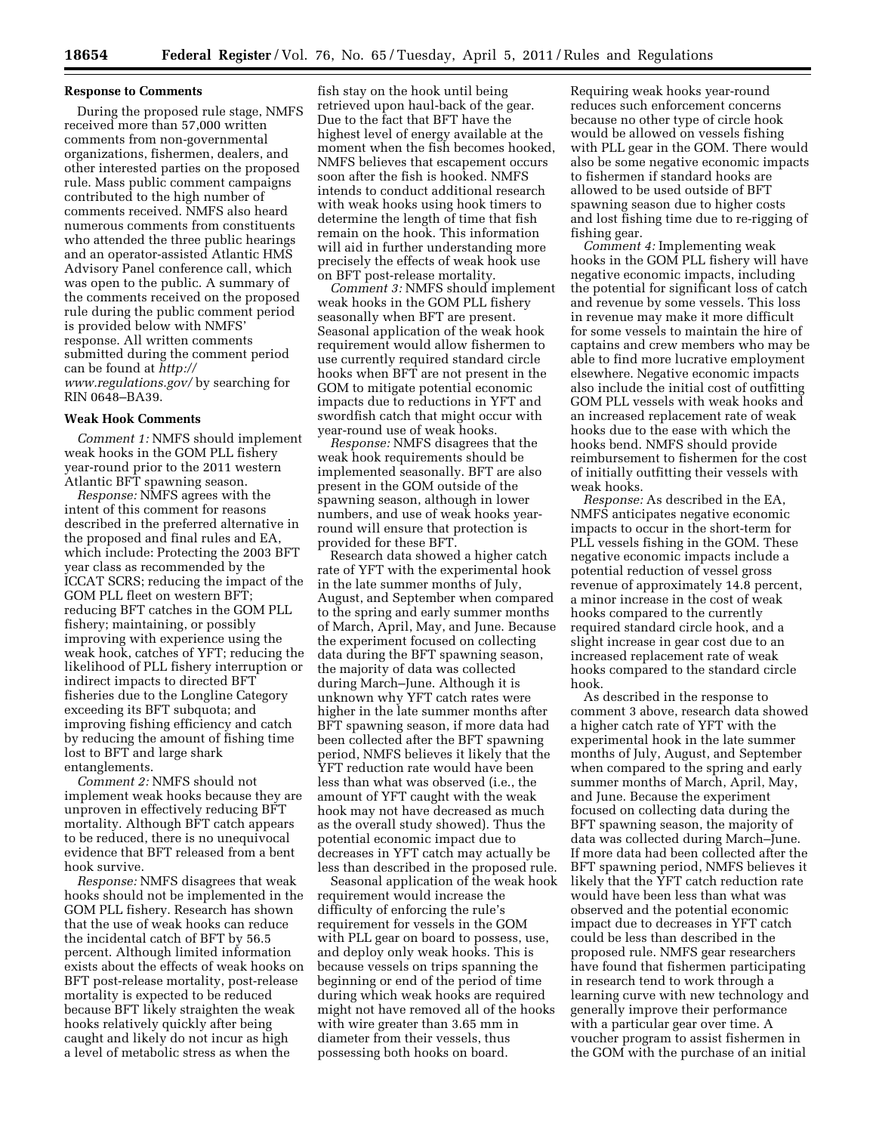#### **Response to Comments**

During the proposed rule stage, NMFS received more than 57,000 written comments from non-governmental organizations, fishermen, dealers, and other interested parties on the proposed rule. Mass public comment campaigns contributed to the high number of comments received. NMFS also heard numerous comments from constituents who attended the three public hearings and an operator-assisted Atlantic HMS Advisory Panel conference call, which was open to the public. A summary of the comments received on the proposed rule during the public comment period is provided below with NMFS' response. All written comments submitted during the comment period can be found at *[http://](http://www.regulations.gov/) [www.regulations.gov/](http://www.regulations.gov/)* by searching for RIN 0648–BA39.

#### **Weak Hook Comments**

*Comment 1:* NMFS should implement weak hooks in the GOM PLL fishery year-round prior to the 2011 western Atlantic BFT spawning season.

*Response:* NMFS agrees with the intent of this comment for reasons described in the preferred alternative in the proposed and final rules and EA, which include: Protecting the 2003 BFT year class as recommended by the ICCAT SCRS; reducing the impact of the GOM PLL fleet on western BFT; reducing BFT catches in the GOM PLL fishery; maintaining, or possibly improving with experience using the weak hook, catches of YFT; reducing the likelihood of PLL fishery interruption or indirect impacts to directed BFT fisheries due to the Longline Category exceeding its BFT subquota; and improving fishing efficiency and catch by reducing the amount of fishing time lost to BFT and large shark entanglements.

*Comment 2:* NMFS should not implement weak hooks because they are unproven in effectively reducing BFT mortality. Although BFT catch appears to be reduced, there is no unequivocal evidence that BFT released from a bent hook survive.

*Response:* NMFS disagrees that weak hooks should not be implemented in the GOM PLL fishery. Research has shown that the use of weak hooks can reduce the incidental catch of BFT by 56.5 percent. Although limited information exists about the effects of weak hooks on BFT post-release mortality, post-release mortality is expected to be reduced because BFT likely straighten the weak hooks relatively quickly after being caught and likely do not incur as high a level of metabolic stress as when the

fish stay on the hook until being retrieved upon haul-back of the gear. Due to the fact that BFT have the highest level of energy available at the moment when the fish becomes hooked, NMFS believes that escapement occurs soon after the fish is hooked. NMFS intends to conduct additional research with weak hooks using hook timers to determine the length of time that fish remain on the hook. This information will aid in further understanding more precisely the effects of weak hook use on BFT post-release mortality.

*Comment 3:* NMFS should implement weak hooks in the GOM PLL fishery seasonally when BFT are present. Seasonal application of the weak hook requirement would allow fishermen to use currently required standard circle hooks when BFT are not present in the GOM to mitigate potential economic impacts due to reductions in YFT and swordfish catch that might occur with year-round use of weak hooks.

*Response:* NMFS disagrees that the weak hook requirements should be implemented seasonally. BFT are also present in the GOM outside of the spawning season, although in lower numbers, and use of weak hooks yearround will ensure that protection is provided for these BFT.

Research data showed a higher catch rate of YFT with the experimental hook in the late summer months of July, August, and September when compared to the spring and early summer months of March, April, May, and June. Because the experiment focused on collecting data during the BFT spawning season, the majority of data was collected during March–June. Although it is unknown why YFT catch rates were higher in the late summer months after BFT spawning season, if more data had been collected after the BFT spawning period, NMFS believes it likely that the YFT reduction rate would have been less than what was observed (i.e., the amount of YFT caught with the weak hook may not have decreased as much as the overall study showed). Thus the potential economic impact due to decreases in YFT catch may actually be less than described in the proposed rule.

Seasonal application of the weak hook requirement would increase the difficulty of enforcing the rule's requirement for vessels in the GOM with PLL gear on board to possess, use, and deploy only weak hooks. This is because vessels on trips spanning the beginning or end of the period of time during which weak hooks are required might not have removed all of the hooks with wire greater than 3.65 mm in diameter from their vessels, thus possessing both hooks on board.

Requiring weak hooks year-round reduces such enforcement concerns because no other type of circle hook would be allowed on vessels fishing with PLL gear in the GOM. There would also be some negative economic impacts to fishermen if standard hooks are allowed to be used outside of BFT spawning season due to higher costs and lost fishing time due to re-rigging of fishing gear.

*Comment 4:* Implementing weak hooks in the GOM PLL fishery will have negative economic impacts, including the potential for significant loss of catch and revenue by some vessels. This loss in revenue may make it more difficult for some vessels to maintain the hire of captains and crew members who may be able to find more lucrative employment elsewhere. Negative economic impacts also include the initial cost of outfitting GOM PLL vessels with weak hooks and an increased replacement rate of weak hooks due to the ease with which the hooks bend. NMFS should provide reimbursement to fishermen for the cost of initially outfitting their vessels with weak hooks.

*Response:* As described in the EA, NMFS anticipates negative economic impacts to occur in the short-term for PLL vessels fishing in the GOM. These negative economic impacts include a potential reduction of vessel gross revenue of approximately 14.8 percent, a minor increase in the cost of weak hooks compared to the currently required standard circle hook, and a slight increase in gear cost due to an increased replacement rate of weak hooks compared to the standard circle hook.

As described in the response to comment 3 above, research data showed a higher catch rate of YFT with the experimental hook in the late summer months of July, August, and September when compared to the spring and early summer months of March, April, May, and June. Because the experiment focused on collecting data during the BFT spawning season, the majority of data was collected during March–June. If more data had been collected after the BFT spawning period, NMFS believes it likely that the YFT catch reduction rate would have been less than what was observed and the potential economic impact due to decreases in YFT catch could be less than described in the proposed rule. NMFS gear researchers have found that fishermen participating in research tend to work through a learning curve with new technology and generally improve their performance with a particular gear over time. A voucher program to assist fishermen in the GOM with the purchase of an initial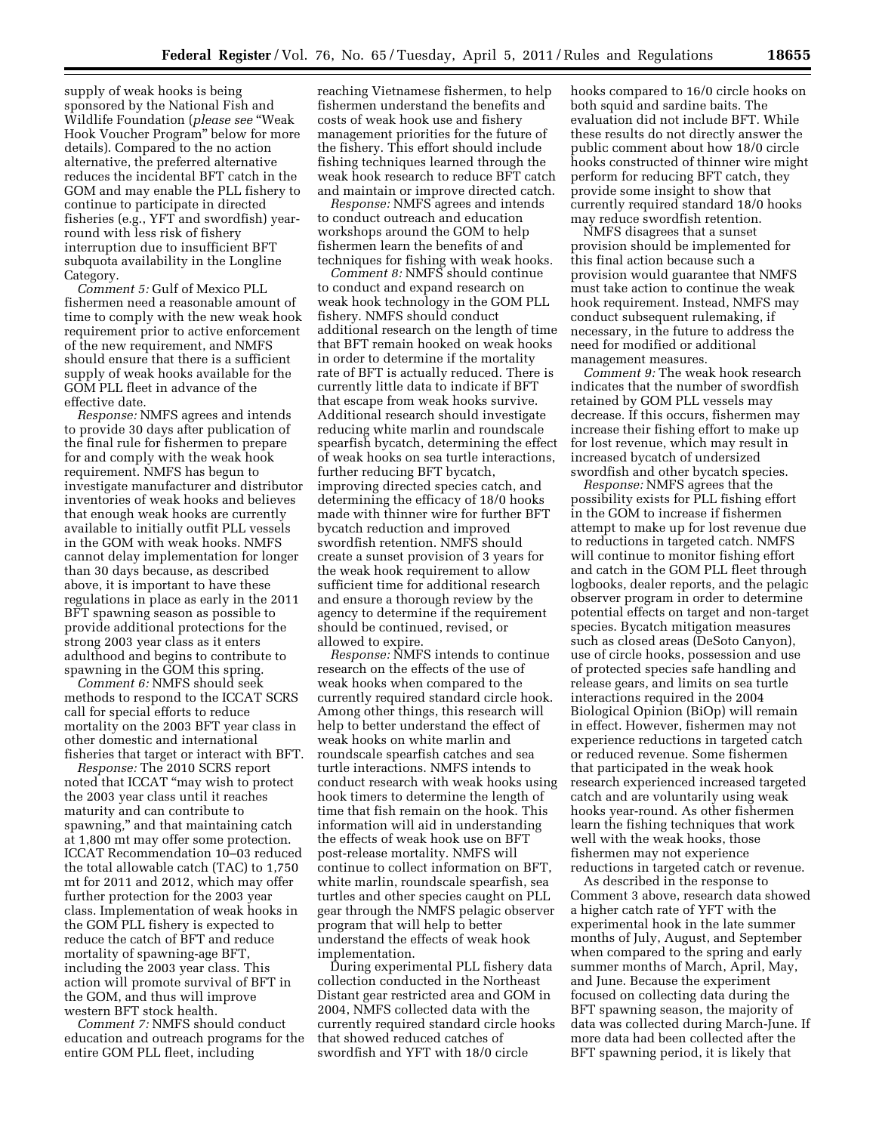supply of weak hooks is being sponsored by the National Fish and Wildlife Foundation (*please see* ''Weak Hook Voucher Program'' below for more details). Compared to the no action alternative, the preferred alternative reduces the incidental BFT catch in the GOM and may enable the PLL fishery to continue to participate in directed fisheries (e.g., YFT and swordfish) yearround with less risk of fishery interruption due to insufficient BFT subquota availability in the Longline Category.

*Comment 5:* Gulf of Mexico PLL fishermen need a reasonable amount of time to comply with the new weak hook requirement prior to active enforcement of the new requirement, and NMFS should ensure that there is a sufficient supply of weak hooks available for the GOM PLL fleet in advance of the effective date.

*Response:* NMFS agrees and intends to provide 30 days after publication of the final rule for fishermen to prepare for and comply with the weak hook requirement. NMFS has begun to investigate manufacturer and distributor inventories of weak hooks and believes that enough weak hooks are currently available to initially outfit PLL vessels in the GOM with weak hooks. NMFS cannot delay implementation for longer than 30 days because, as described above, it is important to have these regulations in place as early in the 2011 BFT spawning season as possible to provide additional protections for the strong 2003 year class as it enters adulthood and begins to contribute to spawning in the GOM this spring.

*Comment 6:* NMFS should seek methods to respond to the ICCAT SCRS call for special efforts to reduce mortality on the 2003 BFT year class in other domestic and international fisheries that target or interact with BFT.

*Response:* The 2010 SCRS report noted that ICCAT ''may wish to protect the 2003 year class until it reaches maturity and can contribute to spawning,'' and that maintaining catch at 1,800 mt may offer some protection. ICCAT Recommendation 10–03 reduced the total allowable catch (TAC) to 1,750 mt for 2011 and 2012, which may offer further protection for the 2003 year class. Implementation of weak hooks in the GOM PLL fishery is expected to reduce the catch of BFT and reduce mortality of spawning-age BFT, including the 2003 year class. This action will promote survival of BFT in the GOM, and thus will improve western BFT stock health.

*Comment 7:* NMFS should conduct education and outreach programs for the entire GOM PLL fleet, including

reaching Vietnamese fishermen, to help fishermen understand the benefits and costs of weak hook use and fishery management priorities for the future of the fishery. This effort should include fishing techniques learned through the weak hook research to reduce BFT catch and maintain or improve directed catch.

*Response:* NMFS agrees and intends to conduct outreach and education workshops around the GOM to help fishermen learn the benefits of and techniques for fishing with weak hooks.

*Comment 8:* NMFS should continue to conduct and expand research on weak hook technology in the GOM PLL fishery. NMFS should conduct additional research on the length of time that BFT remain hooked on weak hooks in order to determine if the mortality rate of BFT is actually reduced. There is currently little data to indicate if BFT that escape from weak hooks survive. Additional research should investigate reducing white marlin and roundscale spearfish bycatch, determining the effect of weak hooks on sea turtle interactions, further reducing BFT bycatch, improving directed species catch, and determining the efficacy of 18/0 hooks made with thinner wire for further BFT bycatch reduction and improved swordfish retention. NMFS should create a sunset provision of 3 years for the weak hook requirement to allow sufficient time for additional research and ensure a thorough review by the agency to determine if the requirement should be continued, revised, or allowed to expire.

*Response:* NMFS intends to continue research on the effects of the use of weak hooks when compared to the currently required standard circle hook. Among other things, this research will help to better understand the effect of weak hooks on white marlin and roundscale spearfish catches and sea turtle interactions. NMFS intends to conduct research with weak hooks using hook timers to determine the length of time that fish remain on the hook. This information will aid in understanding the effects of weak hook use on BFT post-release mortality. NMFS will continue to collect information on BFT, white marlin, roundscale spearfish, sea turtles and other species caught on PLL gear through the NMFS pelagic observer program that will help to better understand the effects of weak hook implementation.

During experimental PLL fishery data collection conducted in the Northeast Distant gear restricted area and GOM in 2004, NMFS collected data with the currently required standard circle hooks that showed reduced catches of swordfish and YFT with 18/0 circle

hooks compared to 16/0 circle hooks on both squid and sardine baits. The evaluation did not include BFT. While these results do not directly answer the public comment about how 18/0 circle hooks constructed of thinner wire might perform for reducing BFT catch, they provide some insight to show that currently required standard 18/0 hooks may reduce swordfish retention.

NMFS disagrees that a sunset provision should be implemented for this final action because such a provision would guarantee that NMFS must take action to continue the weak hook requirement. Instead, NMFS may conduct subsequent rulemaking, if necessary, in the future to address the need for modified or additional management measures.

*Comment 9:* The weak hook research indicates that the number of swordfish retained by GOM PLL vessels may decrease. If this occurs, fishermen may increase their fishing effort to make up for lost revenue, which may result in increased bycatch of undersized swordfish and other bycatch species.

*Response:* NMFS agrees that the possibility exists for PLL fishing effort in the GOM to increase if fishermen attempt to make up for lost revenue due to reductions in targeted catch. NMFS will continue to monitor fishing effort and catch in the GOM PLL fleet through logbooks, dealer reports, and the pelagic observer program in order to determine potential effects on target and non-target species. Bycatch mitigation measures such as closed areas (DeSoto Canyon), use of circle hooks, possession and use of protected species safe handling and release gears, and limits on sea turtle interactions required in the 2004 Biological Opinion (BiOp) will remain in effect. However, fishermen may not experience reductions in targeted catch or reduced revenue. Some fishermen that participated in the weak hook research experienced increased targeted catch and are voluntarily using weak hooks year-round. As other fishermen learn the fishing techniques that work well with the weak hooks, those fishermen may not experience reductions in targeted catch or revenue.

As described in the response to Comment 3 above, research data showed a higher catch rate of YFT with the experimental hook in the late summer months of July, August, and September when compared to the spring and early summer months of March, April, May, and June. Because the experiment focused on collecting data during the BFT spawning season, the majority of data was collected during March-June. If more data had been collected after the BFT spawning period, it is likely that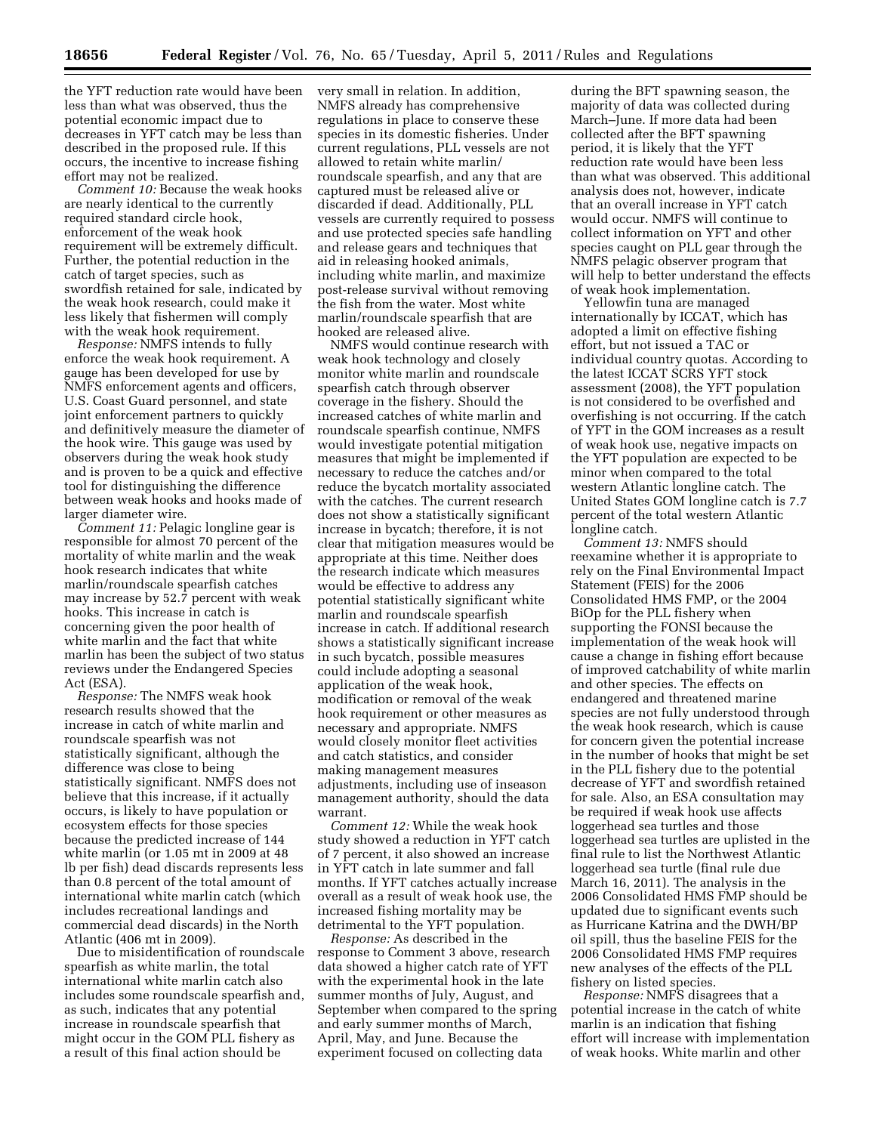the YFT reduction rate would have been less than what was observed, thus the potential economic impact due to decreases in YFT catch may be less than described in the proposed rule. If this occurs, the incentive to increase fishing effort may not be realized.

*Comment 10:* Because the weak hooks are nearly identical to the currently required standard circle hook, enforcement of the weak hook requirement will be extremely difficult. Further, the potential reduction in the catch of target species, such as swordfish retained for sale, indicated by the weak hook research, could make it less likely that fishermen will comply with the weak hook requirement.

*Response:* NMFS intends to fully enforce the weak hook requirement. A gauge has been developed for use by NMFS enforcement agents and officers, U.S. Coast Guard personnel, and state joint enforcement partners to quickly and definitively measure the diameter of the hook wire. This gauge was used by observers during the weak hook study and is proven to be a quick and effective tool for distinguishing the difference between weak hooks and hooks made of larger diameter wire.

*Comment 11:* Pelagic longline gear is responsible for almost 70 percent of the mortality of white marlin and the weak hook research indicates that white marlin/roundscale spearfish catches may increase by 52.7 percent with weak hooks. This increase in catch is concerning given the poor health of white marlin and the fact that white marlin has been the subject of two status reviews under the Endangered Species Act (ESA).

*Response:* The NMFS weak hook research results showed that the increase in catch of white marlin and roundscale spearfish was not statistically significant, although the difference was close to being statistically significant. NMFS does not believe that this increase, if it actually occurs, is likely to have population or ecosystem effects for those species because the predicted increase of 144 white marlin (or 1.05 mt in 2009 at 48 lb per fish) dead discards represents less than 0.8 percent of the total amount of international white marlin catch (which includes recreational landings and commercial dead discards) in the North Atlantic (406 mt in 2009).

Due to misidentification of roundscale spearfish as white marlin, the total international white marlin catch also includes some roundscale spearfish and, as such, indicates that any potential increase in roundscale spearfish that might occur in the GOM PLL fishery as a result of this final action should be

very small in relation. In addition, NMFS already has comprehensive regulations in place to conserve these species in its domestic fisheries. Under current regulations, PLL vessels are not allowed to retain white marlin/ roundscale spearfish, and any that are captured must be released alive or discarded if dead. Additionally, PLL vessels are currently required to possess and use protected species safe handling and release gears and techniques that aid in releasing hooked animals, including white marlin, and maximize post-release survival without removing the fish from the water. Most white marlin/roundscale spearfish that are hooked are released alive.

NMFS would continue research with weak hook technology and closely monitor white marlin and roundscale spearfish catch through observer coverage in the fishery. Should the increased catches of white marlin and roundscale spearfish continue, NMFS would investigate potential mitigation measures that might be implemented if necessary to reduce the catches and/or reduce the bycatch mortality associated with the catches. The current research does not show a statistically significant increase in bycatch; therefore, it is not clear that mitigation measures would be appropriate at this time. Neither does the research indicate which measures would be effective to address any potential statistically significant white marlin and roundscale spearfish increase in catch. If additional research shows a statistically significant increase in such bycatch, possible measures could include adopting a seasonal application of the weak hook, modification or removal of the weak hook requirement or other measures as necessary and appropriate. NMFS would closely monitor fleet activities and catch statistics, and consider making management measures adjustments, including use of inseason management authority, should the data warrant.

*Comment 12:* While the weak hook study showed a reduction in YFT catch of 7 percent, it also showed an increase in YFT catch in late summer and fall months. If YFT catches actually increase overall as a result of weak hook use, the increased fishing mortality may be detrimental to the YFT population.

*Response:* As described in the response to Comment 3 above, research data showed a higher catch rate of YFT with the experimental hook in the late summer months of July, August, and September when compared to the spring and early summer months of March, April, May, and June. Because the experiment focused on collecting data

during the BFT spawning season, the majority of data was collected during March–June. If more data had been collected after the BFT spawning period, it is likely that the YFT reduction rate would have been less than what was observed. This additional analysis does not, however, indicate that an overall increase in YFT catch would occur. NMFS will continue to collect information on YFT and other species caught on PLL gear through the NMFS pelagic observer program that will help to better understand the effects of weak hook implementation.

Yellowfin tuna are managed internationally by ICCAT, which has adopted a limit on effective fishing effort, but not issued a TAC or individual country quotas. According to the latest ICCAT SCRS YFT stock assessment (2008), the YFT population is not considered to be overfished and overfishing is not occurring. If the catch of YFT in the GOM increases as a result of weak hook use, negative impacts on the YFT population are expected to be minor when compared to the total western Atlantic longline catch. The United States GOM longline catch is 7.7 percent of the total western Atlantic longline catch.

*Comment 13:* NMFS should reexamine whether it is appropriate to rely on the Final Environmental Impact Statement (FEIS) for the 2006 Consolidated HMS FMP, or the 2004 BiOp for the PLL fishery when supporting the FONSI because the implementation of the weak hook will cause a change in fishing effort because of improved catchability of white marlin and other species. The effects on endangered and threatened marine species are not fully understood through the weak hook research, which is cause for concern given the potential increase in the number of hooks that might be set in the PLL fishery due to the potential decrease of YFT and swordfish retained for sale. Also, an ESA consultation may be required if weak hook use affects loggerhead sea turtles and those loggerhead sea turtles are uplisted in the final rule to list the Northwest Atlantic loggerhead sea turtle (final rule due March 16, 2011). The analysis in the 2006 Consolidated HMS FMP should be updated due to significant events such as Hurricane Katrina and the DWH/BP oil spill, thus the baseline FEIS for the 2006 Consolidated HMS FMP requires new analyses of the effects of the PLL fishery on listed species.

*Response:* NMFS disagrees that a potential increase in the catch of white marlin is an indication that fishing effort will increase with implementation of weak hooks. White marlin and other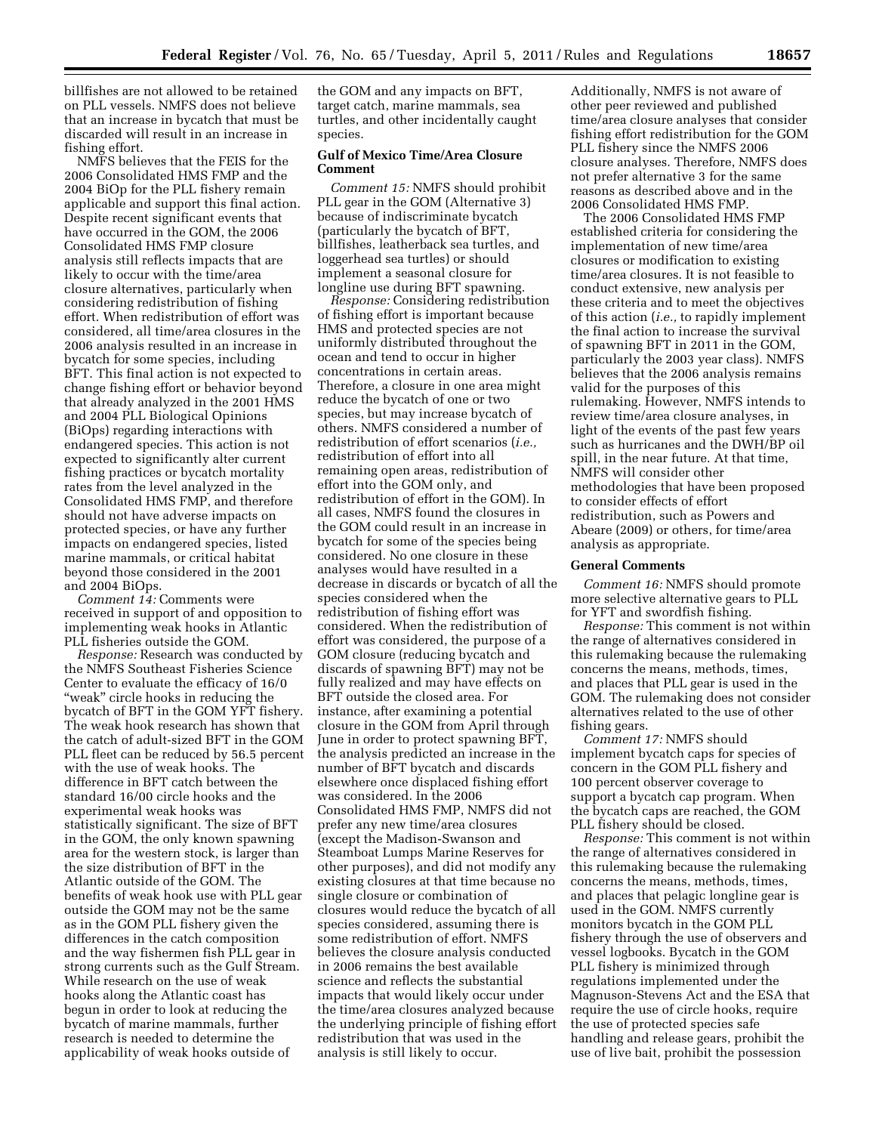billfishes are not allowed to be retained on PLL vessels. NMFS does not believe that an increase in bycatch that must be discarded will result in an increase in fishing effort.

NMFS believes that the FEIS for the 2006 Consolidated HMS FMP and the 2004 BiOp for the PLL fishery remain applicable and support this final action. Despite recent significant events that have occurred in the GOM, the 2006 Consolidated HMS FMP closure analysis still reflects impacts that are likely to occur with the time/area closure alternatives, particularly when considering redistribution of fishing effort. When redistribution of effort was considered, all time/area closures in the 2006 analysis resulted in an increase in bycatch for some species, including BFT. This final action is not expected to change fishing effort or behavior beyond that already analyzed in the 2001 HMS and 2004 PLL Biological Opinions (BiOps) regarding interactions with endangered species. This action is not expected to significantly alter current fishing practices or bycatch mortality rates from the level analyzed in the Consolidated HMS FMP, and therefore should not have adverse impacts on protected species, or have any further impacts on endangered species, listed marine mammals, or critical habitat beyond those considered in the 2001 and 2004 BiOps.

*Comment 14:* Comments were received in support of and opposition to implementing weak hooks in Atlantic PLL fisheries outside the GOM.

*Response:* Research was conducted by the NMFS Southeast Fisheries Science Center to evaluate the efficacy of 16/0 "weak" circle hooks in reducing the bycatch of BFT in the GOM YFT fishery. The weak hook research has shown that the catch of adult-sized BFT in the GOM PLL fleet can be reduced by 56.5 percent with the use of weak hooks. The difference in BFT catch between the standard 16/00 circle hooks and the experimental weak hooks was statistically significant. The size of BFT in the GOM, the only known spawning area for the western stock, is larger than the size distribution of BFT in the Atlantic outside of the GOM. The benefits of weak hook use with PLL gear outside the GOM may not be the same as in the GOM PLL fishery given the differences in the catch composition and the way fishermen fish PLL gear in strong currents such as the Gulf Stream. While research on the use of weak hooks along the Atlantic coast has begun in order to look at reducing the bycatch of marine mammals, further research is needed to determine the applicability of weak hooks outside of

the GOM and any impacts on BFT, target catch, marine mammals, sea turtles, and other incidentally caught species.

# **Gulf of Mexico Time/Area Closure Comment**

*Comment 15:* NMFS should prohibit PLL gear in the GOM (Alternative 3) because of indiscriminate bycatch (particularly the bycatch of BFT, billfishes, leatherback sea turtles, and loggerhead sea turtles) or should implement a seasonal closure for longline use during BFT spawning.

*Response:* Considering redistribution of fishing effort is important because HMS and protected species are not uniformly distributed throughout the ocean and tend to occur in higher concentrations in certain areas. Therefore, a closure in one area might reduce the bycatch of one or two species, but may increase bycatch of others. NMFS considered a number of redistribution of effort scenarios (*i.e.,*  redistribution of effort into all remaining open areas, redistribution of effort into the GOM only, and redistribution of effort in the GOM). In all cases, NMFS found the closures in the GOM could result in an increase in bycatch for some of the species being considered. No one closure in these analyses would have resulted in a decrease in discards or bycatch of all the species considered when the redistribution of fishing effort was considered. When the redistribution of effort was considered, the purpose of a GOM closure (reducing bycatch and discards of spawning BFT) may not be fully realized and may have effects on BFT outside the closed area. For instance, after examining a potential closure in the GOM from April through June in order to protect spawning BFT, the analysis predicted an increase in the number of BFT bycatch and discards elsewhere once displaced fishing effort was considered. In the 2006 Consolidated HMS FMP, NMFS did not prefer any new time/area closures (except the Madison-Swanson and Steamboat Lumps Marine Reserves for other purposes), and did not modify any existing closures at that time because no single closure or combination of closures would reduce the bycatch of all species considered, assuming there is some redistribution of effort. NMFS believes the closure analysis conducted in 2006 remains the best available science and reflects the substantial impacts that would likely occur under the time/area closures analyzed because the underlying principle of fishing effort redistribution that was used in the analysis is still likely to occur.

Additionally, NMFS is not aware of other peer reviewed and published time/area closure analyses that consider fishing effort redistribution for the GOM PLL fishery since the NMFS 2006 closure analyses. Therefore, NMFS does not prefer alternative 3 for the same reasons as described above and in the 2006 Consolidated HMS FMP.

The 2006 Consolidated HMS FMP established criteria for considering the implementation of new time/area closures or modification to existing time/area closures. It is not feasible to conduct extensive, new analysis per these criteria and to meet the objectives of this action (*i.e.,* to rapidly implement the final action to increase the survival of spawning BFT in 2011 in the GOM, particularly the 2003 year class). NMFS believes that the 2006 analysis remains valid for the purposes of this rulemaking. However, NMFS intends to review time/area closure analyses, in light of the events of the past few years such as hurricanes and the DWH/BP oil spill, in the near future. At that time, NMFS will consider other methodologies that have been proposed to consider effects of effort redistribution, such as Powers and Abeare (2009) or others, for time/area analysis as appropriate.

### **General Comments**

*Comment 16:* NMFS should promote more selective alternative gears to PLL for YFT and swordfish fishing.

*Response:* This comment is not within the range of alternatives considered in this rulemaking because the rulemaking concerns the means, methods, times, and places that PLL gear is used in the GOM. The rulemaking does not consider alternatives related to the use of other fishing gears.

*Comment 17:* NMFS should implement bycatch caps for species of concern in the GOM PLL fishery and 100 percent observer coverage to support a bycatch cap program. When the bycatch caps are reached, the GOM PLL fishery should be closed.

*Response:* This comment is not within the range of alternatives considered in this rulemaking because the rulemaking concerns the means, methods, times, and places that pelagic longline gear is used in the GOM. NMFS currently monitors bycatch in the GOM PLL fishery through the use of observers and vessel logbooks. Bycatch in the GOM PLL fishery is minimized through regulations implemented under the Magnuson-Stevens Act and the ESA that require the use of circle hooks, require the use of protected species safe handling and release gears, prohibit the use of live bait, prohibit the possession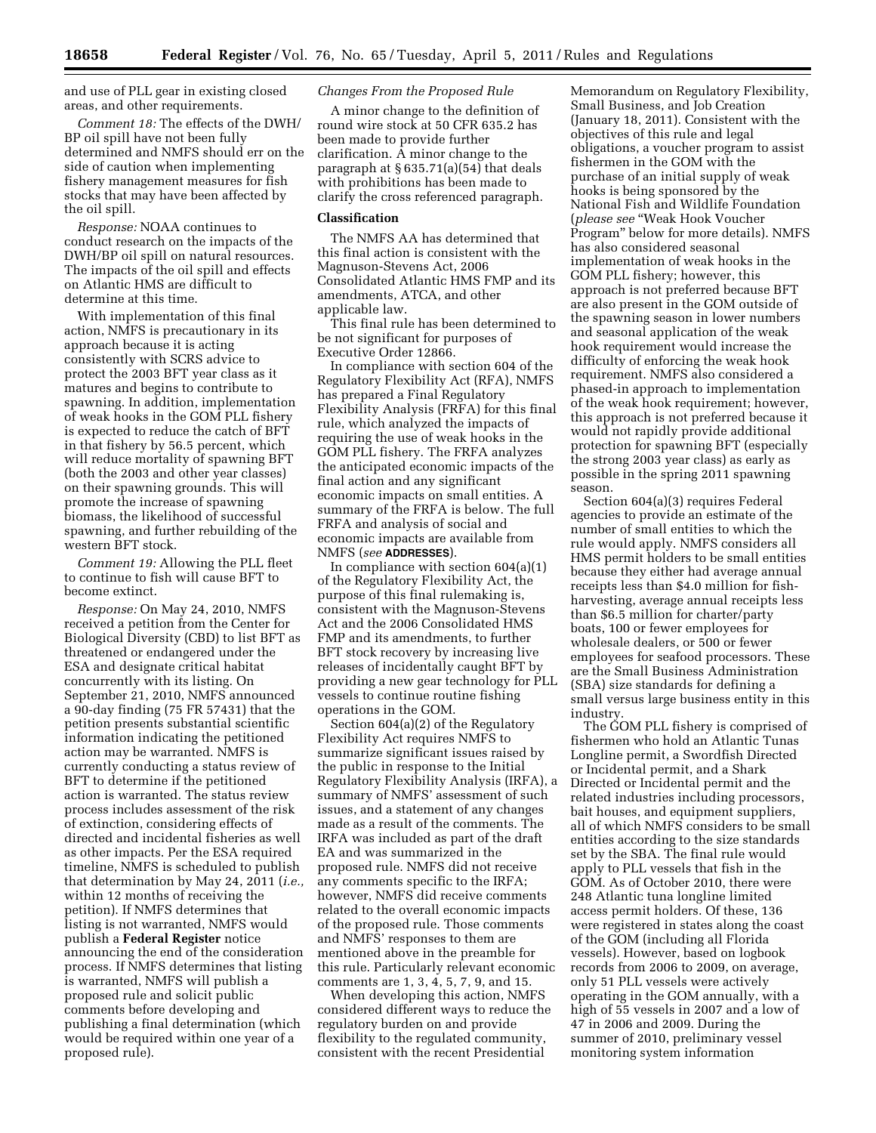and use of PLL gear in existing closed areas, and other requirements.

*Comment 18:* The effects of the DWH/ BP oil spill have not been fully determined and NMFS should err on the side of caution when implementing fishery management measures for fish stocks that may have been affected by the oil spill.

*Response:* NOAA continues to conduct research on the impacts of the DWH/BP oil spill on natural resources. The impacts of the oil spill and effects on Atlantic HMS are difficult to determine at this time.

With implementation of this final action, NMFS is precautionary in its approach because it is acting consistently with SCRS advice to protect the 2003 BFT year class as it matures and begins to contribute to spawning. In addition, implementation of weak hooks in the GOM PLL fishery is expected to reduce the catch of BFT in that fishery by 56.5 percent, which will reduce mortality of spawning BFT (both the 2003 and other year classes) on their spawning grounds. This will promote the increase of spawning biomass, the likelihood of successful spawning, and further rebuilding of the western BFT stock.

*Comment 19:* Allowing the PLL fleet to continue to fish will cause BFT to become extinct.

*Response:* On May 24, 2010, NMFS received a petition from the Center for Biological Diversity (CBD) to list BFT as threatened or endangered under the ESA and designate critical habitat concurrently with its listing. On September 21, 2010, NMFS announced a 90-day finding (75 FR 57431) that the petition presents substantial scientific information indicating the petitioned action may be warranted. NMFS is currently conducting a status review of BFT to determine if the petitioned action is warranted. The status review process includes assessment of the risk of extinction, considering effects of directed and incidental fisheries as well as other impacts. Per the ESA required timeline, NMFS is scheduled to publish that determination by May 24, 2011 (*i.e.,*  within 12 months of receiving the petition). If NMFS determines that listing is not warranted, NMFS would publish a **Federal Register** notice announcing the end of the consideration process. If NMFS determines that listing is warranted, NMFS will publish a proposed rule and solicit public comments before developing and publishing a final determination (which would be required within one year of a proposed rule).

### *Changes From the Proposed Rule*

A minor change to the definition of round wire stock at 50 CFR 635.2 has been made to provide further clarification. A minor change to the paragraph at § 635.71(a)(54) that deals with prohibitions has been made to clarify the cross referenced paragraph.

### **Classification**

The NMFS AA has determined that this final action is consistent with the Magnuson-Stevens Act, 2006 Consolidated Atlantic HMS FMP and its amendments, ATCA, and other applicable law.

This final rule has been determined to be not significant for purposes of Executive Order 12866.

In compliance with section 604 of the Regulatory Flexibility Act (RFA), NMFS has prepared a Final Regulatory Flexibility Analysis (FRFA) for this final rule, which analyzed the impacts of requiring the use of weak hooks in the GOM PLL fishery. The FRFA analyzes the anticipated economic impacts of the final action and any significant economic impacts on small entities. A summary of the FRFA is below. The full FRFA and analysis of social and economic impacts are available from NMFS (*see* **ADDRESSES**).

In compliance with section  $604(a)(1)$ of the Regulatory Flexibility Act, the purpose of this final rulemaking is, consistent with the Magnuson-Stevens Act and the 2006 Consolidated HMS FMP and its amendments, to further BFT stock recovery by increasing live releases of incidentally caught BFT by providing a new gear technology for PLL vessels to continue routine fishing operations in the GOM.

Section 604(a)(2) of the Regulatory Flexibility Act requires NMFS to summarize significant issues raised by the public in response to the Initial Regulatory Flexibility Analysis (IRFA), a summary of NMFS' assessment of such issues, and a statement of any changes made as a result of the comments. The IRFA was included as part of the draft EA and was summarized in the proposed rule. NMFS did not receive any comments specific to the IRFA; however, NMFS did receive comments related to the overall economic impacts of the proposed rule. Those comments and NMFS' responses to them are mentioned above in the preamble for this rule. Particularly relevant economic comments are 1, 3, 4, 5, 7, 9, and 15.

When developing this action, NMFS considered different ways to reduce the regulatory burden on and provide flexibility to the regulated community, consistent with the recent Presidential

Memorandum on Regulatory Flexibility, Small Business, and Job Creation (January 18, 2011). Consistent with the objectives of this rule and legal obligations, a voucher program to assist fishermen in the GOM with the purchase of an initial supply of weak hooks is being sponsored by the National Fish and Wildlife Foundation (*please see* ''Weak Hook Voucher Program'' below for more details). NMFS has also considered seasonal implementation of weak hooks in the GOM PLL fishery; however, this approach is not preferred because BFT are also present in the GOM outside of the spawning season in lower numbers and seasonal application of the weak hook requirement would increase the difficulty of enforcing the weak hook requirement. NMFS also considered a phased-in approach to implementation of the weak hook requirement; however, this approach is not preferred because it would not rapidly provide additional protection for spawning BFT (especially the strong 2003 year class) as early as possible in the spring 2011 spawning season.

Section 604(a)(3) requires Federal agencies to provide an estimate of the number of small entities to which the rule would apply. NMFS considers all HMS permit holders to be small entities because they either had average annual receipts less than \$4.0 million for fishharvesting, average annual receipts less than \$6.5 million for charter/party boats, 100 or fewer employees for wholesale dealers, or 500 or fewer employees for seafood processors. These are the Small Business Administration (SBA) size standards for defining a small versus large business entity in this industry.

The GOM PLL fishery is comprised of fishermen who hold an Atlantic Tunas Longline permit, a Swordfish Directed or Incidental permit, and a Shark Directed or Incidental permit and the related industries including processors, bait houses, and equipment suppliers, all of which NMFS considers to be small entities according to the size standards set by the SBA. The final rule would apply to PLL vessels that fish in the GOM. As of October 2010, there were 248 Atlantic tuna longline limited access permit holders. Of these, 136 were registered in states along the coast of the GOM (including all Florida vessels). However, based on logbook records from 2006 to 2009, on average, only 51 PLL vessels were actively operating in the GOM annually, with a high of 55 vessels in 2007 and a low of 47 in 2006 and 2009. During the summer of 2010, preliminary vessel monitoring system information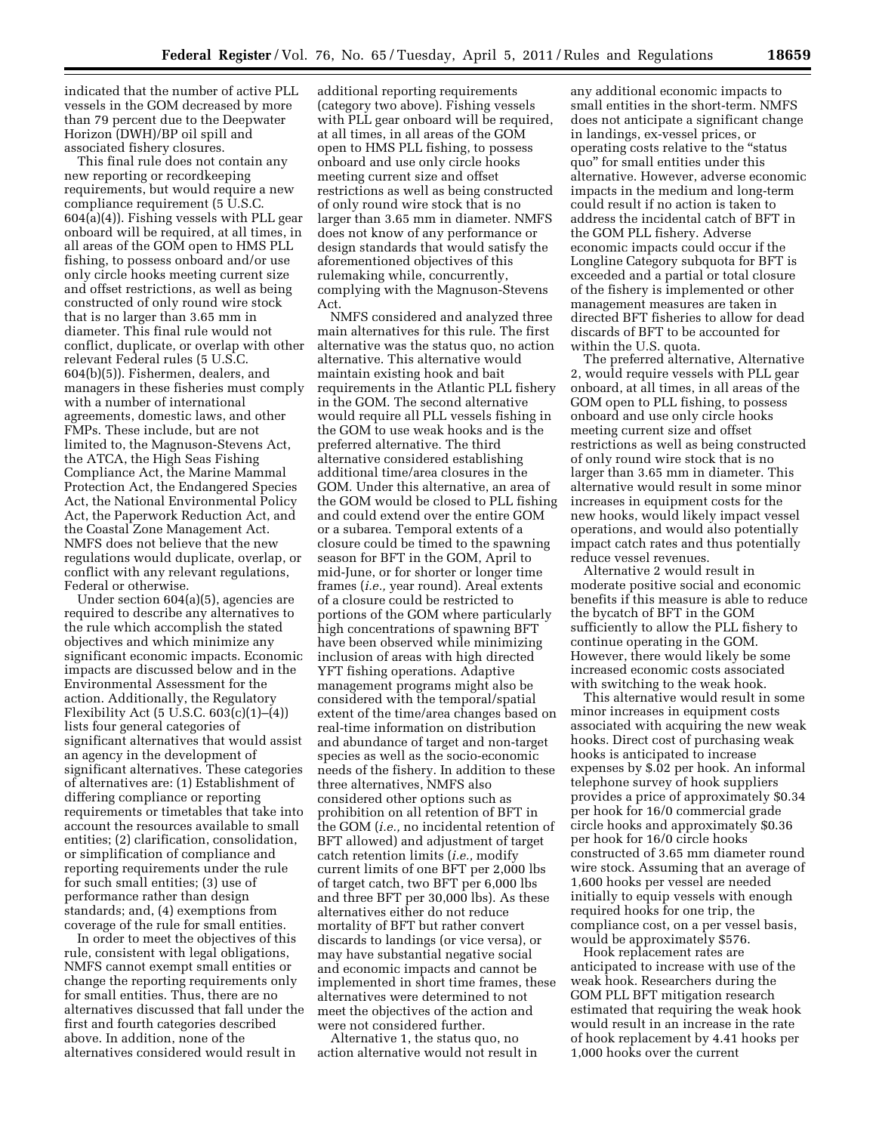indicated that the number of active PLL vessels in the GOM decreased by more than 79 percent due to the Deepwater Horizon (DWH)/BP oil spill and associated fishery closures.

This final rule does not contain any new reporting or recordkeeping requirements, but would require a new compliance requirement (5 U.S.C. 604(a)(4)). Fishing vessels with PLL gear onboard will be required, at all times, in all areas of the GOM open to HMS PLL fishing, to possess onboard and/or use only circle hooks meeting current size and offset restrictions, as well as being constructed of only round wire stock that is no larger than 3.65 mm in diameter. This final rule would not conflict, duplicate, or overlap with other relevant Federal rules (5 U.S.C. 604(b)(5)). Fishermen, dealers, and managers in these fisheries must comply with a number of international agreements, domestic laws, and other FMPs. These include, but are not limited to, the Magnuson-Stevens Act, the ATCA, the High Seas Fishing Compliance Act, the Marine Mammal Protection Act, the Endangered Species Act, the National Environmental Policy Act, the Paperwork Reduction Act, and the Coastal Zone Management Act. NMFS does not believe that the new regulations would duplicate, overlap, or conflict with any relevant regulations, Federal or otherwise.

Under section 604(a)(5), agencies are required to describe any alternatives to the rule which accomplish the stated objectives and which minimize any significant economic impacts. Economic impacts are discussed below and in the Environmental Assessment for the action. Additionally, the Regulatory Flexibility Act (5 U.S.C. 603(c)(1)–(4)) lists four general categories of significant alternatives that would assist an agency in the development of significant alternatives. These categories of alternatives are: (1) Establishment of differing compliance or reporting requirements or timetables that take into account the resources available to small entities; (2) clarification, consolidation, or simplification of compliance and reporting requirements under the rule for such small entities; (3) use of performance rather than design standards; and, (4) exemptions from coverage of the rule for small entities.

In order to meet the objectives of this rule, consistent with legal obligations, NMFS cannot exempt small entities or change the reporting requirements only for small entities. Thus, there are no alternatives discussed that fall under the first and fourth categories described above. In addition, none of the alternatives considered would result in

additional reporting requirements (category two above). Fishing vessels with PLL gear onboard will be required, at all times, in all areas of the GOM open to HMS PLL fishing, to possess onboard and use only circle hooks meeting current size and offset restrictions as well as being constructed of only round wire stock that is no larger than 3.65 mm in diameter. NMFS does not know of any performance or design standards that would satisfy the aforementioned objectives of this rulemaking while, concurrently, complying with the Magnuson-Stevens Act.

NMFS considered and analyzed three main alternatives for this rule. The first alternative was the status quo, no action alternative. This alternative would maintain existing hook and bait requirements in the Atlantic PLL fishery in the GOM. The second alternative would require all PLL vessels fishing in the GOM to use weak hooks and is the preferred alternative. The third alternative considered establishing additional time/area closures in the GOM. Under this alternative, an area of the GOM would be closed to PLL fishing and could extend over the entire GOM or a subarea. Temporal extents of a closure could be timed to the spawning season for BFT in the GOM, April to mid-June, or for shorter or longer time frames (*i.e.,* year round). Areal extents of a closure could be restricted to portions of the GOM where particularly high concentrations of spawning BFT have been observed while minimizing inclusion of areas with high directed YFT fishing operations. Adaptive management programs might also be considered with the temporal/spatial extent of the time/area changes based on real-time information on distribution and abundance of target and non-target species as well as the socio-economic needs of the fishery. In addition to these three alternatives, NMFS also considered other options such as prohibition on all retention of BFT in the GOM (*i.e.,* no incidental retention of BFT allowed) and adjustment of target catch retention limits (*i.e.,* modify current limits of one BFT per 2,000 lbs of target catch, two BFT per 6,000 lbs and three BFT per 30,000 lbs). As these alternatives either do not reduce mortality of BFT but rather convert discards to landings (or vice versa), or may have substantial negative social and economic impacts and cannot be implemented in short time frames, these alternatives were determined to not meet the objectives of the action and were not considered further.

Alternative 1, the status quo, no action alternative would not result in

any additional economic impacts to small entities in the short-term. NMFS does not anticipate a significant change in landings, ex-vessel prices, or operating costs relative to the ''status quo'' for small entities under this alternative. However, adverse economic impacts in the medium and long-term could result if no action is taken to address the incidental catch of BFT in the GOM PLL fishery. Adverse economic impacts could occur if the Longline Category subquota for BFT is exceeded and a partial or total closure of the fishery is implemented or other management measures are taken in directed BFT fisheries to allow for dead discards of BFT to be accounted for within the U.S. quota.

The preferred alternative, Alternative 2, would require vessels with PLL gear onboard, at all times, in all areas of the GOM open to PLL fishing, to possess onboard and use only circle hooks meeting current size and offset restrictions as well as being constructed of only round wire stock that is no larger than 3.65 mm in diameter. This alternative would result in some minor increases in equipment costs for the new hooks, would likely impact vessel operations, and would also potentially impact catch rates and thus potentially reduce vessel revenues.

Alternative 2 would result in moderate positive social and economic benefits if this measure is able to reduce the bycatch of BFT in the GOM sufficiently to allow the PLL fishery to continue operating in the GOM. However, there would likely be some increased economic costs associated with switching to the weak hook.

This alternative would result in some minor increases in equipment costs associated with acquiring the new weak hooks. Direct cost of purchasing weak hooks is anticipated to increase expenses by \$.02 per hook. An informal telephone survey of hook suppliers provides a price of approximately \$0.34 per hook for 16/0 commercial grade circle hooks and approximately \$0.36 per hook for 16/0 circle hooks constructed of 3.65 mm diameter round wire stock. Assuming that an average of 1,600 hooks per vessel are needed initially to equip vessels with enough required hooks for one trip, the compliance cost, on a per vessel basis, would be approximately \$576.

Hook replacement rates are anticipated to increase with use of the weak hook. Researchers during the GOM PLL BFT mitigation research estimated that requiring the weak hook would result in an increase in the rate of hook replacement by 4.41 hooks per 1,000 hooks over the current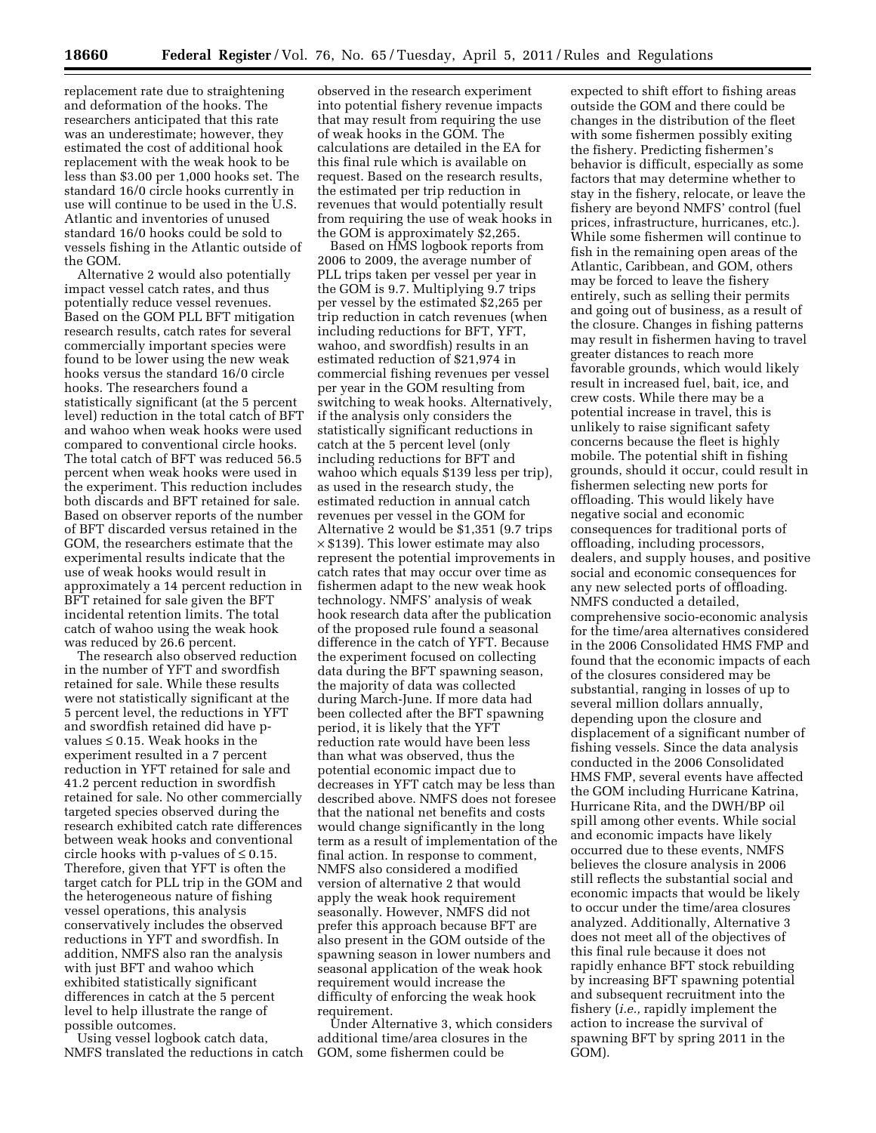replacement rate due to straightening and deformation of the hooks. The researchers anticipated that this rate was an underestimate; however, they estimated the cost of additional hook replacement with the weak hook to be less than \$3.00 per 1,000 hooks set. The standard 16/0 circle hooks currently in use will continue to be used in the U.S. Atlantic and inventories of unused standard 16/0 hooks could be sold to vessels fishing in the Atlantic outside of the GOM.

Alternative 2 would also potentially impact vessel catch rates, and thus potentially reduce vessel revenues. Based on the GOM PLL BFT mitigation research results, catch rates for several commercially important species were found to be lower using the new weak hooks versus the standard 16/0 circle hooks. The researchers found a statistically significant (at the 5 percent level) reduction in the total catch of BFT and wahoo when weak hooks were used compared to conventional circle hooks. The total catch of BFT was reduced 56.5 percent when weak hooks were used in the experiment. This reduction includes both discards and BFT retained for sale. Based on observer reports of the number of BFT discarded versus retained in the GOM, the researchers estimate that the experimental results indicate that the use of weak hooks would result in approximately a 14 percent reduction in BFT retained for sale given the BFT incidental retention limits. The total catch of wahoo using the weak hook was reduced by 26.6 percent.

The research also observed reduction in the number of YFT and swordfish retained for sale. While these results were not statistically significant at the 5 percent level, the reductions in YFT and swordfish retained did have pvalues ≤ 0.15. Weak hooks in the experiment resulted in a 7 percent reduction in YFT retained for sale and 41.2 percent reduction in swordfish retained for sale. No other commercially targeted species observed during the research exhibited catch rate differences between weak hooks and conventional circle hooks with p-values of  $\leq 0.15$ . Therefore, given that YFT is often the target catch for PLL trip in the GOM and the heterogeneous nature of fishing vessel operations, this analysis conservatively includes the observed reductions in YFT and swordfish. In addition, NMFS also ran the analysis with just BFT and wahoo which exhibited statistically significant differences in catch at the 5 percent level to help illustrate the range of possible outcomes.

Using vessel logbook catch data, NMFS translated the reductions in catch

observed in the research experiment into potential fishery revenue impacts that may result from requiring the use of weak hooks in the GOM. The calculations are detailed in the EA for this final rule which is available on request. Based on the research results, the estimated per trip reduction in revenues that would potentially result from requiring the use of weak hooks in the GOM is approximately \$2,265.

Based on HMS logbook reports from 2006 to 2009, the average number of PLL trips taken per vessel per year in the GOM is 9.7. Multiplying 9.7 trips per vessel by the estimated \$2,265 per trip reduction in catch revenues (when including reductions for BFT, YFT, wahoo, and swordfish) results in an estimated reduction of \$21,974 in commercial fishing revenues per vessel per year in the GOM resulting from switching to weak hooks. Alternatively, if the analysis only considers the statistically significant reductions in catch at the 5 percent level (only including reductions for BFT and wahoo which equals \$139 less per trip), as used in the research study, the estimated reduction in annual catch revenues per vessel in the GOM for Alternative 2 would be \$1,351 (9.7 trips  $\times$  \$139). This lower estimate may also represent the potential improvements in catch rates that may occur over time as fishermen adapt to the new weak hook technology. NMFS' analysis of weak hook research data after the publication of the proposed rule found a seasonal difference in the catch of YFT. Because the experiment focused on collecting data during the BFT spawning season, the majority of data was collected during March-June. If more data had been collected after the BFT spawning period, it is likely that the YFT reduction rate would have been less than what was observed, thus the potential economic impact due to decreases in YFT catch may be less than described above. NMFS does not foresee that the national net benefits and costs would change significantly in the long term as a result of implementation of the final action. In response to comment, NMFS also considered a modified version of alternative 2 that would apply the weak hook requirement seasonally. However, NMFS did not prefer this approach because BFT are also present in the GOM outside of the spawning season in lower numbers and seasonal application of the weak hook requirement would increase the difficulty of enforcing the weak hook requirement.

Under Alternative 3, which considers additional time/area closures in the GOM, some fishermen could be

expected to shift effort to fishing areas outside the GOM and there could be changes in the distribution of the fleet with some fishermen possibly exiting the fishery. Predicting fishermen's behavior is difficult, especially as some factors that may determine whether to stay in the fishery, relocate, or leave the fishery are beyond NMFS' control (fuel prices, infrastructure, hurricanes, etc.). While some fishermen will continue to fish in the remaining open areas of the Atlantic, Caribbean, and GOM, others may be forced to leave the fishery entirely, such as selling their permits and going out of business, as a result of the closure. Changes in fishing patterns may result in fishermen having to travel greater distances to reach more favorable grounds, which would likely result in increased fuel, bait, ice, and crew costs. While there may be a potential increase in travel, this is unlikely to raise significant safety concerns because the fleet is highly mobile. The potential shift in fishing grounds, should it occur, could result in fishermen selecting new ports for offloading. This would likely have negative social and economic consequences for traditional ports of offloading, including processors, dealers, and supply houses, and positive social and economic consequences for any new selected ports of offloading. NMFS conducted a detailed, comprehensive socio-economic analysis for the time/area alternatives considered in the 2006 Consolidated HMS FMP and found that the economic impacts of each of the closures considered may be substantial, ranging in losses of up to several million dollars annually, depending upon the closure and displacement of a significant number of fishing vessels. Since the data analysis conducted in the 2006 Consolidated HMS FMP, several events have affected the GOM including Hurricane Katrina, Hurricane Rita, and the DWH/BP oil spill among other events. While social and economic impacts have likely occurred due to these events, NMFS believes the closure analysis in 2006 still reflects the substantial social and economic impacts that would be likely to occur under the time/area closures analyzed. Additionally, Alternative 3 does not meet all of the objectives of this final rule because it does not rapidly enhance BFT stock rebuilding by increasing BFT spawning potential and subsequent recruitment into the fishery (*i.e.,* rapidly implement the action to increase the survival of spawning BFT by spring 2011 in the GOM).